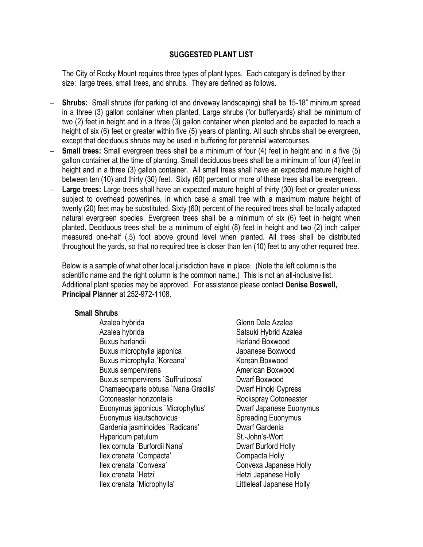## **SUGGESTED PLANT LIST**

The City of Rocky Mount requires three types of plant types. Each category is defined by their size: large trees, small trees, and shrubs. They are defined as follows.

- **Shrubs:** Small shrubs (for parking lot and driveway landscaping) shall be 15-18" minimum spread in a three (3) gallon container when planted. Large shrubs (for bufferyards) shall be minimum of two (2) feet in height and in a three (3) gallon container when planted and be expected to reach a height of six (6) feet or greater within five (5) years of planting. All such shrubs shall be evergreen, except that deciduous shrubs may be used in buffering for perennial watercourses.
- **Small trees:** Small evergreen trees shall be a minimum of four (4) feet in height and in a five (5) gallon container at the time of planting. Small deciduous trees shall be a minimum of four (4) feet in height and in a three (3) gallon container. All small trees shall have an expected mature height of between ten (10) and thirty (30) feet. Sixty (60) percent or more of these trees shall be evergreen.
- Large trees: Large trees shall have an expected mature height of thirty (30) feet or greater unless subject to overhead powerlines, in which case a small tree with a maximum mature height of twenty (20) feet may be substituted. Sixty (60) percent of the required trees shall be locally adapted natural evergreen species. Evergreen trees shall be a minimum of six (6) feet in height when planted. Deciduous trees shall be a minimum of eight (8) feet in height and two (2) inch caliper measured one-half (.5) foot above ground level when planted. All trees shall be distributed throughout the yards, so that no required tree is closer than ten (10) feet to any other required tree.

Below is a sample of what other local jurisdiction have in place. (Note the left column is the scientific name and the right column is the common name.) This is not an all-inclusive list. Additional plant species may be approved. For assistance please contact **Denise Boswell, Principal Planner** at 252-972-1108.

## **Small Shrubs**

Azalea hybrida **Glenn Dale Azalea** Azalea hybrida **Satsuki Hybrid Azalea** Buxus harlandii **Harland Boxwood**  Buxus microphylla japonica Japanese Boxwood Buxus microphylla `Koreana' Korean Boxwood Buxus sempervirens **American Boxwood**  Buxus sempervirens `Suffruticosa' Dwarf Boxwood Chamaecyparis obtusa `Nana Gracilis' Dwarf Hinoki Cypress **Cotoneaster horizontalis Rockspray Cotoneaster** Euonymus japonicus `Microphyllus' Dwarf Japanese Euonymus Euonymus kiautschovicus **Spreading Euonymus** Gardenia jasminoides `Radicans' Dwarf Gardenia Hypericum patulum St.-John's-Wort Ilex cornuta `Burfordii Nana' Dwarf Burford Holly Ilex crenata `Compacta' Compacta Holly Ilex crenata `Convexa' Convexa Japanese Holly Ilex crenata `Hetzi' Hetzi Japanese Holly Ilex crenata `Microphylla' Littleleaf Japanese Holly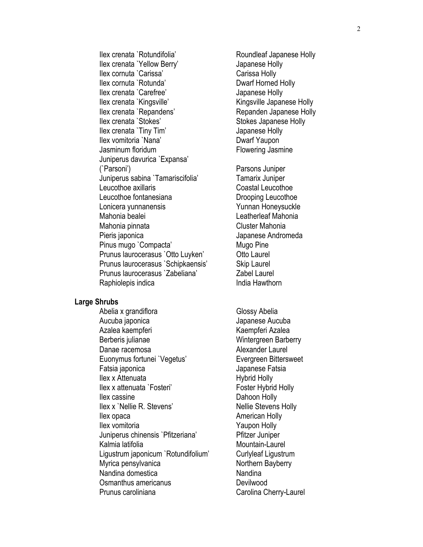Ilex crenata `Rotundifolia' Roundleaf Japanese Holly Ilex crenata `Yellow Berry' Japanese Holly Ilex cornuta `Carissa' Carissa Holly Ilex cornuta `Rotunda' Dwarf Horned Holly Ilex crenata `Carefree' Japanese Holly Ilex crenata `Kingsville' Kingsville Kingsville Japanese Holly Ilex crenata `Repandens' Repanden Japanese Holly Ilex crenata `Stokes' Stokes Japanese Holly Ilex crenata `Tiny Tim' Japanese Holly Ilex vomitoria `Nana' Dwarf Yaupon Jasminum floridum **Flowering Jasmine** Juniperus davurica `Expansa' (`Parsoni') Parsons Juniper Juniperus sabina `Tamariscifolia' Tamarix Juniper Leucothoe axillaris Coastal Leucothoe Leucothoe fontanesiana Drooping Leucothoe Lonicera yunnanensis **Yunnan Honeysuckle**  Mahonia bealei Leatherleaf Mahonia Mahonia pinnata Cluster Mahonia Pieris japonica **Andrew Pieris japonica** Japanese Andromeda Pinus mugo `Compacta' Mugo Pine Prunus laurocerasus 'Otto Luyken' Otto Laurel Prunus laurocerasus `Schipkaensis' Skip Laurel Prunus laurocerasus `Zabeliana' Zabel Laurel **Raphiolepis indica India Hawthorn** 

## **Large Shrubs**

Abelia x grandiflora Glossy Abelia Aucuba japonica Japanese Aucuba Azalea kaempferi Kaempferi Kaempferi Azalea Berberis julianae Wintergreen Barberry Danae racemosa and a community and alexander Laurel Euonymus fortunei `Vegetus' Evergreen Bittersweet Fatsia japonica **Japanese Fatsia** Ilex x Attenuata Hybrid Holly Ilex x attenuata `Fosteri' Foster Hybrid Holly **Ilex cassine** Dahoon Holly Ilex x `Nellie R. Stevens' Nellie Stevens Holly Ilex opaca American Holly Ilex vomitoria **Yaupon Holly**  Juniperus chinensis `Pfitzeriana' Pfitzer Juniper Kalmia latifolia **Mountain-Laurel**  Ligustrum japonicum `Rotundifolium' Curlyleaf Ligustrum Myrica pensylvanica Northern Bayberry Nandina domestica Nandina Osmanthus americanus **Devilwood** Prunus caroliniana **Carolina Cherry-Laurel**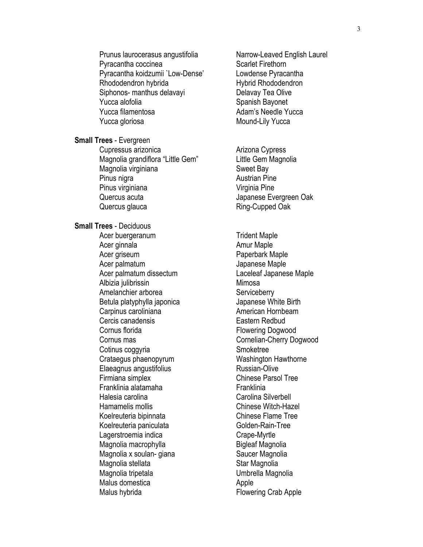Prunus laurocerasus angustifolia Narrow-Leaved English Laurel Pyracantha coccinea Scarlet Firethorn Pyracantha koidzumii `Low-Dense' Lowdense Pyracantha Rhododendron hybrida Hybrid Rhododendron Siphonos- manthus delavayi **Delavay Tea Olive** Yucca alofolia **Spanish Bayonet** Spanish Bayonet Yucca filamentosa and a Adam's Needle Yucca Yucca gloriosa Mound-Lily Yucca

**Small Trees** - Evergreen

Cupressus arizonica anticona Cypress Magnolia grandiflora "Little Gem" Little Gem Magnolia Magnolia virginiana menyebabkan sekali sebagai sebagai sebagai sebagai sebagai sebagai sebagai sebagai sebagai Pinus nigra **Austrian Pine** Pinus virginiana versitas dan versitas virginia Pine Quercus acuta Japanese Evergreen Oak Quercus glauca **Ring-Cupped Oak** 

**Small Trees** - Deciduous

Acer buergeranum Trident Maple Acer ginnala **Amur Maple** Acer griseum **Paperbark Maple** Acer palmatum and a state of the Japanese Maple Acer palmatum dissectum Laceleaf Japanese Maple Albizia julibrissin Mimosa Amelanchier arborea Serviceberry Betula platyphylla japonica and discrept papanese White Birth Carpinus caroliniana **American Hornbeam** Cercis canadensis Eastern Redbud Cornus florida **Flowering Dogwood** Cotinus coggyria Smoketree Crataegus phaenopyrum Washington Hawthorne Elaeagnus angustifolius **Russian-Olive** Firmiana simplex Chinese Parsol Tree Franklinia alatamaha **Franklinia** Halesia carolina Carolina Silverbell Hamamelis mollis Chinese Witch-Hazel Koelreuteria bipinnata eta alianeko Koelreuteria bipinnata Koelreuteria paniculata Golden-Rain-Tree Lagerstroemia indica Crape-Myrtle Magnolia macrophylla and a Bigleaf Magnolia Magnolia x soulan- giana Saucer Magnolia Magnolia stellata Star Magnolia Magnolia tripetala **Nagnolia** Umbrella Magnolia Malus domestica and a political Apple Malus hybrida **Flowering Crab Apple** 

Cornus mas Cornelian-Cherry Dogwood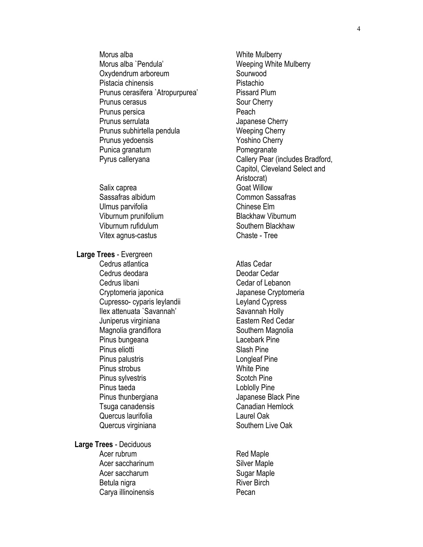Morus alba **Morus** alba Morus alba `Pendula' Weeping White Mulberry Oxydendrum arboreum Sourwood Pistacia chinensis Pistachio Prunus cerasifera `Atropurpurea' Pissard Plum Prunus cerasus **Sour Cherry** Sour Cherry Prunus persica **Provident Peach** Prunus serrulata and a Japanese Cherry Prunus subhirtella pendula Weeping Cherry Prunus yedoensis **Yoshino** Cherry Punica granatum **Pomegranate** 

Salix caprea Goat Willow Sassafras albidum Common Sassafras Ulmus parvifolia Chinese Elm Viburnum prunifolium Blackhaw Viburnum Viburnum rufidulum Southern Blackhaw Vitex agnus-castus Chaste - Tree

 **Large Trees** - Evergreen

Cedrus atlantica **Atlas Cedar** Cedrus deodara **Deodar Cedar** Cedrus libani Cedar of Lebanon Cryptomeria japonica Japanese Cryptomeria Cupresso- cyparis leylandii Leyland Cypress Ilex attenuata `Savannah' Savannah Holly Juniperus virginiana **Eastern Red Cedar** Magnolia grandiflora **Southern Magnolia** Southern Magnolia Pinus bungeana **Lacebark Pine** Pinus eliotti alla suomen valtaa valtaa Slash Pine Pinus palustris Longleaf Pine Pinus strobus **White Pine** Pinus sylvestris Scotch Pine Pinus taeda Loblolly Pine Pinus thunbergiana **Disk and Separate State Pine** Japanese Black Pine Tsuga canadensis Canadian Hemlock Quercus laurifolia Laurel Oak Quercus virginiana **Southern Live Oak** 

**Large Trees** - Deciduous Acer rubrum Red Maple Acer saccharinum Silver Maple Acer saccharum Sugar Maple Betula nigra **River Birch** River Birch Carya illinoinensis **Pecan** 

Pyrus calleryana Callery Pear (includes Bradford, Capitol, Cleveland Select and Aristocrat)